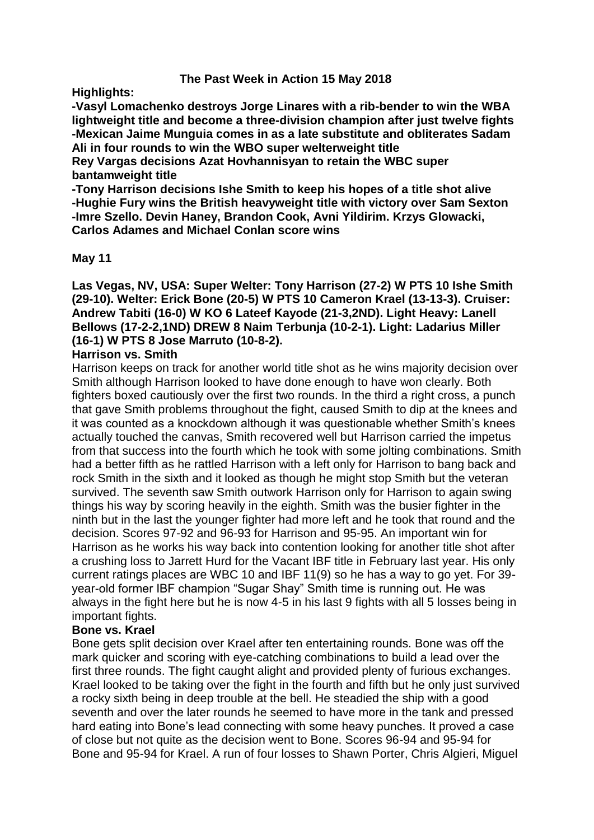# **The Past Week in Action 15 May 2018**

**Highlights:**

**-Vasyl Lomachenko destroys Jorge Linares with a rib-bender to win the WBA lightweight title and become a three-division champion after just twelve fights -Mexican Jaime Munguia comes in as a late substitute and obliterates Sadam Ali in four rounds to win the WBO super welterweight title**

**Rey Vargas decisions Azat Hovhannisyan to retain the WBC super bantamweight title**

**-Tony Harrison decisions Ishe Smith to keep his hopes of a title shot alive -Hughie Fury wins the British heavyweight title with victory over Sam Sexton -Imre Szello. Devin Haney, Brandon Cook, Avni Yildirim. Krzys Glowacki, Carlos Adames and Michael Conlan score wins**

### **May 11**

**Las Vegas, NV, USA: Super Welter: Tony Harrison (27-2) W PTS 10 Ishe Smith (29-10). Welter: Erick Bone (20-5) W PTS 10 Cameron Krael (13-13-3). Cruiser: Andrew Tabiti (16-0) W KO 6 Lateef Kayode (21-3,2ND). Light Heavy: Lanell Bellows (17-2-2,1ND) DREW 8 Naim Terbunja (10-2-1). Light: Ladarius Miller (16-1) W PTS 8 Jose Marruto (10-8-2).**

# **Harrison vs. Smith**

Harrison keeps on track for another world title shot as he wins majority decision over Smith although Harrison looked to have done enough to have won clearly. Both fighters boxed cautiously over the first two rounds. In the third a right cross, a punch that gave Smith problems throughout the fight, caused Smith to dip at the knees and it was counted as a knockdown although it was questionable whether Smith's knees actually touched the canvas, Smith recovered well but Harrison carried the impetus from that success into the fourth which he took with some jolting combinations. Smith had a better fifth as he rattled Harrison with a left only for Harrison to bang back and rock Smith in the sixth and it looked as though he might stop Smith but the veteran survived. The seventh saw Smith outwork Harrison only for Harrison to again swing things his way by scoring heavily in the eighth. Smith was the busier fighter in the ninth but in the last the younger fighter had more left and he took that round and the decision. Scores 97-92 and 96-93 for Harrison and 95-95. An important win for Harrison as he works his way back into contention looking for another title shot after a crushing loss to Jarrett Hurd for the Vacant IBF title in February last year. His only current ratings places are WBC 10 and IBF 11(9) so he has a way to go yet. For 39 year-old former IBF champion "Sugar Shay" Smith time is running out. He was always in the fight here but he is now 4-5 in his last 9 fights with all 5 losses being in important fights.

# **Bone vs. Krael**

Bone gets split decision over Krael after ten entertaining rounds. Bone was off the mark quicker and scoring with eye-catching combinations to build a lead over the first three rounds. The fight caught alight and provided plenty of furious exchanges. Krael looked to be taking over the fight in the fourth and fifth but he only just survived a rocky sixth being in deep trouble at the bell. He steadied the ship with a good seventh and over the later rounds he seemed to have more in the tank and pressed hard eating into Bone's lead connecting with some heavy punches. It proved a case of close but not quite as the decision went to Bone. Scores 96-94 and 95-94 for Bone and 95-94 for Krael. A run of four losses to Shawn Porter, Chris Algieri, Miguel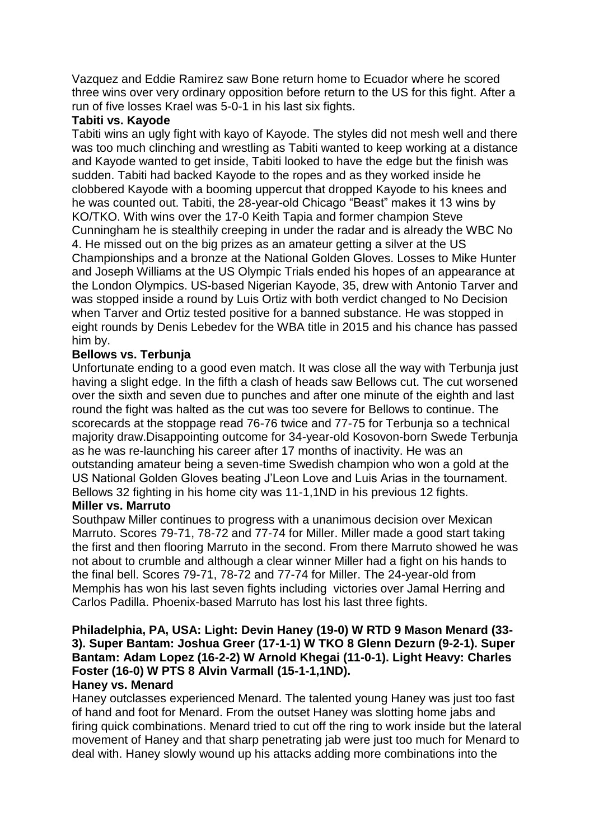Vazquez and Eddie Ramirez saw Bone return home to Ecuador where he scored three wins over very ordinary opposition before return to the US for this fight. After a run of five losses Krael was 5-0-1 in his last six fights.

# **Tabiti vs. Kayode**

Tabiti wins an ugly fight with kayo of Kayode. The styles did not mesh well and there was too much clinching and wrestling as Tabiti wanted to keep working at a distance and Kayode wanted to get inside, Tabiti looked to have the edge but the finish was sudden. Tabiti had backed Kayode to the ropes and as they worked inside he clobbered Kayode with a booming uppercut that dropped Kayode to his knees and he was counted out. Tabiti, the 28-year-old Chicago "Beast" makes it 13 wins by KO/TKO. With wins over the 17-0 Keith Tapia and former champion Steve Cunningham he is stealthily creeping in under the radar and is already the WBC No 4. He missed out on the big prizes as an amateur getting a silver at the US Championships and a bronze at the National Golden Gloves. Losses to Mike Hunter and Joseph Williams at the US Olympic Trials ended his hopes of an appearance at the London Olympics. US-based Nigerian Kayode, 35, drew with Antonio Tarver and was stopped inside a round by Luis Ortiz with both verdict changed to No Decision when Tarver and Ortiz tested positive for a banned substance. He was stopped in eight rounds by Denis Lebedev for the WBA title in 2015 and his chance has passed him by.

# **Bellows vs. Terbunja**

Unfortunate ending to a good even match. It was close all the way with Terbunja just having a slight edge. In the fifth a clash of heads saw Bellows cut. The cut worsened over the sixth and seven due to punches and after one minute of the eighth and last round the fight was halted as the cut was too severe for Bellows to continue. The scorecards at the stoppage read 76-76 twice and 77-75 for Terbunja so a technical majority draw.Disappointing outcome for 34-year-old Kosovon-born Swede Terbunja as he was re-launching his career after 17 months of inactivity. He was an outstanding amateur being a seven-time Swedish champion who won a gold at the US National Golden Gloves beating J'Leon Love and Luis Arias in the tournament. Bellows 32 fighting in his home city was 11-1,1ND in his previous 12 fights.

# **Miller vs. Marruto**

Southpaw Miller continues to progress with a unanimous decision over Mexican Marruto. Scores 79-71, 78-72 and 77-74 for Miller. Miller made a good start taking the first and then flooring Marruto in the second. From there Marruto showed he was not about to crumble and although a clear winner Miller had a fight on his hands to the final bell. Scores 79-71, 78-72 and 77-74 for Miller. The 24-year-old from Memphis has won his last seven fights including victories over Jamal Herring and Carlos Padilla. Phoenix-based Marruto has lost his last three fights.

# **Philadelphia, PA, USA: Light: Devin Haney (19-0) W RTD 9 Mason Menard (33- 3). Super Bantam: Joshua Greer (17-1-1) W TKO 8 Glenn Dezurn (9-2-1). Super Bantam: Adam Lopez (16-2-2) W Arnold Khegai (11-0-1). Light Heavy: Charles Foster (16-0) W PTS 8 Alvin Varmall (15-1-1,1ND).**

# **Haney vs. Menard**

Haney outclasses experienced Menard. The talented young Haney was just too fast of hand and foot for Menard. From the outset Haney was slotting home jabs and firing quick combinations. Menard tried to cut off the ring to work inside but the lateral movement of Haney and that sharp penetrating jab were just too much for Menard to deal with. Haney slowly wound up his attacks adding more combinations into the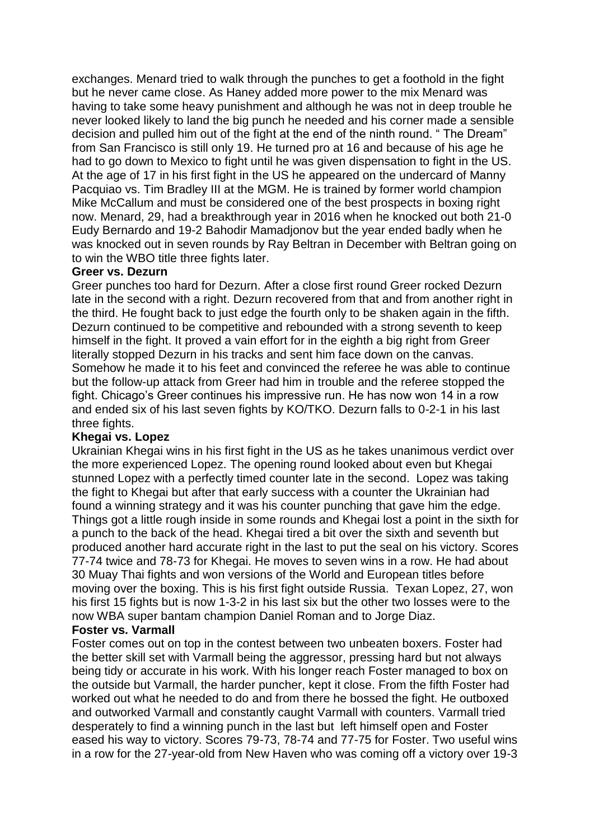exchanges. Menard tried to walk through the punches to get a foothold in the fight but he never came close. As Haney added more power to the mix Menard was having to take some heavy punishment and although he was not in deep trouble he never looked likely to land the big punch he needed and his corner made a sensible decision and pulled him out of the fight at the end of the ninth round. " The Dream" from San Francisco is still only 19. He turned pro at 16 and because of his age he had to go down to Mexico to fight until he was given dispensation to fight in the US. At the age of 17 in his first fight in the US he appeared on the undercard of Manny Pacquiao vs. Tim Bradley III at the MGM. He is trained by former world champion Mike McCallum and must be considered one of the best prospects in boxing right now. Menard, 29, had a breakthrough year in 2016 when he knocked out both 21-0 Eudy Bernardo and 19-2 Bahodir Mamadjonov but the year ended badly when he was knocked out in seven rounds by Ray Beltran in December with Beltran going on to win the WBO title three fights later.

#### **Greer vs. Dezurn**

Greer punches too hard for Dezurn. After a close first round Greer rocked Dezurn late in the second with a right. Dezurn recovered from that and from another right in the third. He fought back to just edge the fourth only to be shaken again in the fifth. Dezurn continued to be competitive and rebounded with a strong seventh to keep himself in the fight. It proved a vain effort for in the eighth a big right from Greer literally stopped Dezurn in his tracks and sent him face down on the canvas. Somehow he made it to his feet and convinced the referee he was able to continue but the follow-up attack from Greer had him in trouble and the referee stopped the fight. Chicago's Greer continues his impressive run. He has now won 14 in a row and ended six of his last seven fights by KO/TKO. Dezurn falls to 0-2-1 in his last three fights.

#### **Khegai vs. Lopez**

Ukrainian Khegai wins in his first fight in the US as he takes unanimous verdict over the more experienced Lopez. The opening round looked about even but Khegai stunned Lopez with a perfectly timed counter late in the second. Lopez was taking the fight to Khegai but after that early success with a counter the Ukrainian had found a winning strategy and it was his counter punching that gave him the edge. Things got a little rough inside in some rounds and Khegai lost a point in the sixth for a punch to the back of the head. Khegai tired a bit over the sixth and seventh but produced another hard accurate right in the last to put the seal on his victory. Scores 77-74 twice and 78-73 for Khegai. He moves to seven wins in a row. He had about 30 Muay Thai fights and won versions of the World and European titles before moving over the boxing. This is his first fight outside Russia. Texan Lopez, 27, won his first 15 fights but is now 1-3-2 in his last six but the other two losses were to the now WBA super bantam champion Daniel Roman and to Jorge Diaz.

### **Foster vs. Varmall**

Foster comes out on top in the contest between two unbeaten boxers. Foster had the better skill set with Varmall being the aggressor, pressing hard but not always being tidy or accurate in his work. With his longer reach Foster managed to box on the outside but Varmall, the harder puncher, kept it close. From the fifth Foster had worked out what he needed to do and from there he bossed the fight. He outboxed and outworked Varmall and constantly caught Varmall with counters. Varmall tried desperately to find a winning punch in the last but left himself open and Foster eased his way to victory. Scores 79-73, 78-74 and 77-75 for Foster. Two useful wins in a row for the 27-year-old from New Haven who was coming off a victory over 19-3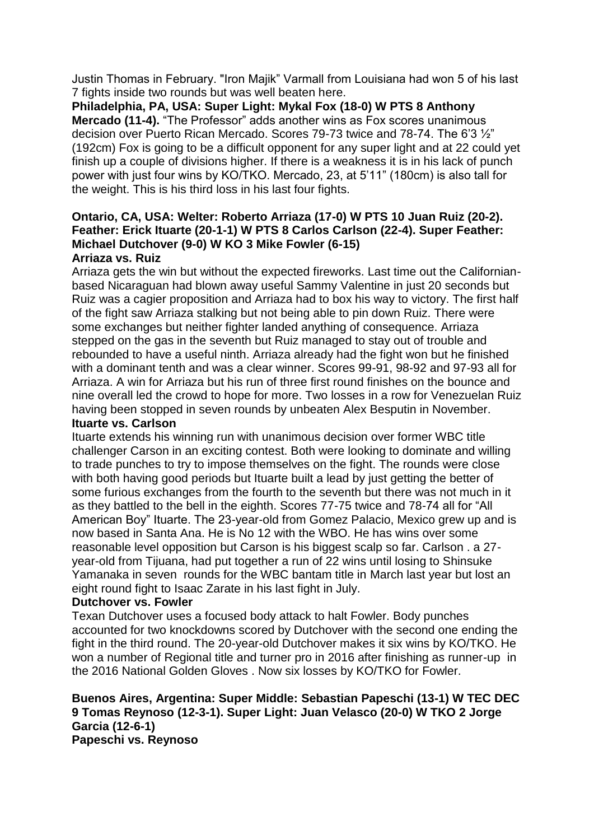Justin Thomas in February. "Iron Majik" Varmall from Louisiana had won 5 of his last 7 fights inside two rounds but was well beaten here.

**Philadelphia, PA, USA: Super Light: Mykal Fox (18-0) W PTS 8 Anthony Mercado (11-4).** "The Professor" adds another wins as Fox scores unanimous decision over Puerto Rican Mercado. Scores 79-73 twice and 78-74. The 6'3 ½" (192cm) Fox is going to be a difficult opponent for any super light and at 22 could yet finish up a couple of divisions higher. If there is a weakness it is in his lack of punch power with just four wins by KO/TKO. Mercado, 23, at 5'11" (180cm) is also tall for the weight. This is his third loss in his last four fights.

#### **Ontario, CA, USA: Welter: Roberto Arriaza (17-0) W PTS 10 Juan Ruiz (20-2). Feather: Erick Ituarte (20-1-1) W PTS 8 Carlos Carlson (22-4). Super Feather: Michael Dutchover (9-0) W KO 3 Mike Fowler (6-15) Arriaza vs. Ruiz**

Arriaza gets the win but without the expected fireworks. Last time out the Californianbased Nicaraguan had blown away useful Sammy Valentine in just 20 seconds but Ruiz was a cagier proposition and Arriaza had to box his way to victory. The first half of the fight saw Arriaza stalking but not being able to pin down Ruiz. There were some exchanges but neither fighter landed anything of consequence. Arriaza stepped on the gas in the seventh but Ruiz managed to stay out of trouble and rebounded to have a useful ninth. Arriaza already had the fight won but he finished with a dominant tenth and was a clear winner. Scores 99-91, 98-92 and 97-93 all for Arriaza. A win for Arriaza but his run of three first round finishes on the bounce and nine overall led the crowd to hope for more. Two losses in a row for Venezuelan Ruiz having been stopped in seven rounds by unbeaten Alex Besputin in November. **Ituarte vs. Carlson**

Ituarte extends his winning run with unanimous decision over former WBC title challenger Carson in an exciting contest. Both were looking to dominate and willing to trade punches to try to impose themselves on the fight. The rounds were close with both having good periods but Ituarte built a lead by just getting the better of some furious exchanges from the fourth to the seventh but there was not much in it as they battled to the bell in the eighth. Scores 77-75 twice and 78-74 all for "All American Boy" Ituarte. The 23-year-old from Gomez Palacio, Mexico grew up and is now based in Santa Ana. He is No 12 with the WBO. He has wins over some reasonable level opposition but Carson is his biggest scalp so far. Carlson . a 27 year-old from Tijuana, had put together a run of 22 wins until losing to Shinsuke Yamanaka in seven rounds for the WBC bantam title in March last year but lost an eight round fight to Isaac Zarate in his last fight in July.

# **Dutchover vs. Fowler**

Texan Dutchover uses a focused body attack to halt Fowler. Body punches accounted for two knockdowns scored by Dutchover with the second one ending the fight in the third round. The 20-year-old Dutchover makes it six wins by KO/TKO. He won a number of Regional title and turner pro in 2016 after finishing as runner-up in the 2016 National Golden Gloves . Now six losses by KO/TKO for Fowler.

#### **Buenos Aires, Argentina: Super Middle: Sebastian Papeschi (13-1) W TEC DEC 9 Tomas Reynoso (12-3-1). Super Light: Juan Velasco (20-0) W TKO 2 Jorge Garcia (12-6-1) Papeschi vs. Reynoso**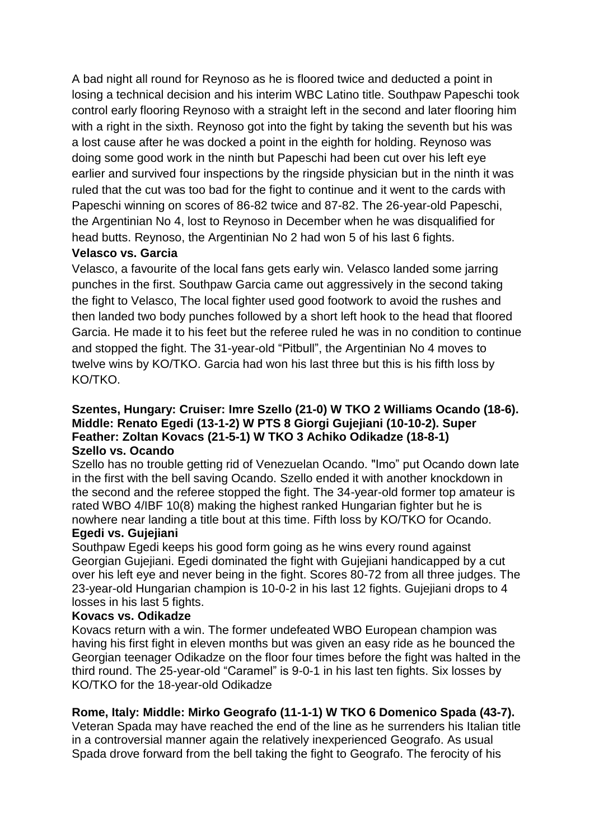A bad night all round for Reynoso as he is floored twice and deducted a point in losing a technical decision and his interim WBC Latino title. Southpaw Papeschi took control early flooring Reynoso with a straight left in the second and later flooring him with a right in the sixth. Reynoso got into the fight by taking the seventh but his was a lost cause after he was docked a point in the eighth for holding. Reynoso was doing some good work in the ninth but Papeschi had been cut over his left eye earlier and survived four inspections by the ringside physician but in the ninth it was ruled that the cut was too bad for the fight to continue and it went to the cards with Papeschi winning on scores of 86-82 twice and 87-82. The 26-year-old Papeschi, the Argentinian No 4, lost to Reynoso in December when he was disqualified for head butts. Reynoso, the Argentinian No 2 had won 5 of his last 6 fights.

# **Velasco vs. Garcia**

Velasco, a favourite of the local fans gets early win. Velasco landed some jarring punches in the first. Southpaw Garcia came out aggressively in the second taking the fight to Velasco, The local fighter used good footwork to avoid the rushes and then landed two body punches followed by a short left hook to the head that floored Garcia. He made it to his feet but the referee ruled he was in no condition to continue and stopped the fight. The 31-year-old "Pitbull", the Argentinian No 4 moves to twelve wins by KO/TKO. Garcia had won his last three but this is his fifth loss by KO/TKO.

## **Szentes, Hungary: Cruiser: Imre Szello (21-0) W TKO 2 Williams Ocando (18-6). Middle: Renato Egedi (13-1-2) W PTS 8 Giorgi Gujejiani (10-10-2). Super Feather: Zoltan Kovacs (21-5-1) W TKO 3 Achiko Odikadze (18-8-1) Szello vs. Ocando**

Szello has no trouble getting rid of Venezuelan Ocando. "Imo" put Ocando down late in the first with the bell saving Ocando. Szello ended it with another knockdown in the second and the referee stopped the fight. The 34-year-old former top amateur is rated WBO 4/IBF 10(8) making the highest ranked Hungarian fighter but he is nowhere near landing a title bout at this time. Fifth loss by KO/TKO for Ocando.

# **Egedi vs. Gujejiani**

Southpaw Egedi keeps his good form going as he wins every round against Georgian Gujejiani. Egedi dominated the fight with Gujejiani handicapped by a cut over his left eye and never being in the fight. Scores 80-72 from all three judges. The 23-year-old Hungarian champion is 10-0-2 in his last 12 fights. Gujejiani drops to 4 losses in his last 5 fights.

# **Kovacs vs. Odikadze**

Kovacs return with a win. The former undefeated WBO European champion was having his first fight in eleven months but was given an easy ride as he bounced the Georgian teenager Odikadze on the floor four times before the fight was halted in the third round. The 25-year-old "Caramel" is 9-0-1 in his last ten fights. Six losses by KO/TKO for the 18-year-old Odikadze

# **Rome, Italy: Middle: Mirko Geografo (11-1-1) W TKO 6 Domenico Spada (43-7).**

Veteran Spada may have reached the end of the line as he surrenders his Italian title in a controversial manner again the relatively inexperienced Geografo. As usual Spada drove forward from the bell taking the fight to Geografo. The ferocity of his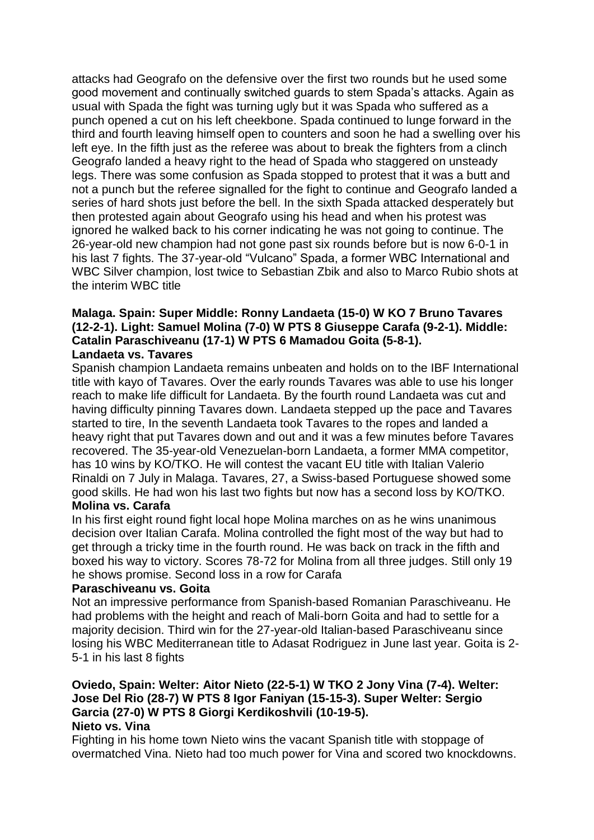attacks had Geografo on the defensive over the first two rounds but he used some good movement and continually switched guards to stem Spada's attacks. Again as usual with Spada the fight was turning ugly but it was Spada who suffered as a punch opened a cut on his left cheekbone. Spada continued to lunge forward in the third and fourth leaving himself open to counters and soon he had a swelling over his left eye. In the fifth just as the referee was about to break the fighters from a clinch Geografo landed a heavy right to the head of Spada who staggered on unsteady legs. There was some confusion as Spada stopped to protest that it was a butt and not a punch but the referee signalled for the fight to continue and Geografo landed a series of hard shots just before the bell. In the sixth Spada attacked desperately but then protested again about Geografo using his head and when his protest was ignored he walked back to his corner indicating he was not going to continue. The 26-year-old new champion had not gone past six rounds before but is now 6-0-1 in his last 7 fights. The 37-year-old "Vulcano" Spada, a former WBC International and WBC Silver champion, lost twice to Sebastian Zbik and also to Marco Rubio shots at the interim WBC title

### **Malaga. Spain: Super Middle: Ronny Landaeta (15-0) W KO 7 Bruno Tavares (12-2-1). Light: Samuel Molina (7-0) W PTS 8 Giuseppe Carafa (9-2-1). Middle: Catalin Paraschiveanu (17-1) W PTS 6 Mamadou Goita (5-8-1). Landaeta vs. Tavares**

Spanish champion Landaeta remains unbeaten and holds on to the IBF International title with kayo of Tavares. Over the early rounds Tavares was able to use his longer reach to make life difficult for Landaeta. By the fourth round Landaeta was cut and having difficulty pinning Tavares down. Landaeta stepped up the pace and Tavares started to tire, In the seventh Landaeta took Tavares to the ropes and landed a heavy right that put Tavares down and out and it was a few minutes before Tavares recovered. The 35-year-old Venezuelan-born Landaeta, a former MMA competitor, has 10 wins by KO/TKO. He will contest the vacant EU title with Italian Valerio Rinaldi on 7 July in Malaga. Tavares, 27, a Swiss-based Portuguese showed some good skills. He had won his last two fights but now has a second loss by KO/TKO.

# **Molina vs. Carafa**

In his first eight round fight local hope Molina marches on as he wins unanimous decision over Italian Carafa. Molina controlled the fight most of the way but had to get through a tricky time in the fourth round. He was back on track in the fifth and boxed his way to victory. Scores 78-72 for Molina from all three judges. Still only 19 he shows promise. Second loss in a row for Carafa

# **Paraschiveanu vs. Goita**

Not an impressive performance from Spanish-based Romanian Paraschiveanu. He had problems with the height and reach of Mali-born Goita and had to settle for a majority decision. Third win for the 27-year-old Italian-based Paraschiveanu since losing his WBC Mediterranean title to Adasat Rodriguez in June last year. Goita is 2- 5-1 in his last 8 fights

# **Oviedo, Spain: Welter: Aitor Nieto (22-5-1) W TKO 2 Jony Vina (7-4). Welter: Jose Del Rio (28-7) W PTS 8 Igor Faniyan (15-15-3). Super Welter: Sergio Garcia (27-0) W PTS 8 Giorgi Kerdikoshvili (10-19-5).**

**Nieto vs. Vina**

Fighting in his home town Nieto wins the vacant Spanish title with stoppage of overmatched Vina. Nieto had too much power for Vina and scored two knockdowns.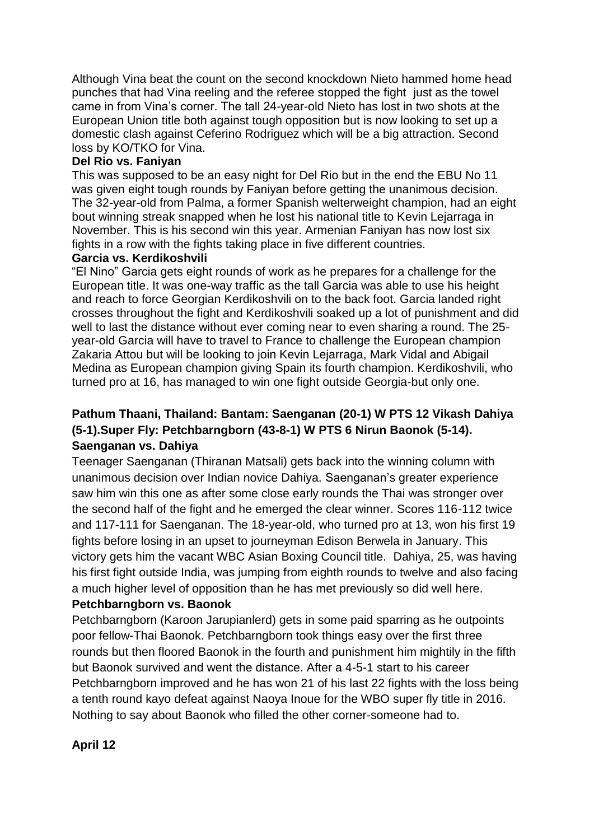Although Vina beat the count on the second knockdown Nieto hammed home head punches that had Vina reeling and the referee stopped the fight just as the towel came in from Vina's corner. The tall 24-year-old Nieto has lost in two shots at the European Union title both against tough opposition but is now looking to set up a domestic clash against Ceferino Rodriguez which will be a big attraction. Second loss by KO/TKO for Vina.

# **Del Rio vs. Faniyan**

This was supposed to be an easy night for Del Rio but in the end the EBU No 11 was given eight tough rounds by Faniyan before getting the unanimous decision. The 32-year-old from Palma, a former Spanish welterweight champion, had an eight bout winning streak snapped when he lost his national title to Kevin Lejarraga in November. This is his second win this year. Armenian Faniyan has now lost six fights in a row with the fights taking place in five different countries.

# **Garcia vs. Kerdikoshvili**

"El Nino" Garcia gets eight rounds of work as he prepares for a challenge for the European title. It was one-way traffic as the tall Garcia was able to use his height and reach to force Georgian Kerdikoshvili on to the back foot. Garcia landed right crosses throughout the fight and Kerdikoshvili soaked up a lot of punishment and did well to last the distance without ever coming near to even sharing a round. The 25 year-old Garcia will have to travel to France to challenge the European champion Zakaria Attou but will be looking to join Kevin Lejarraga, Mark Vidal and Abigail Medina as European champion giving Spain its fourth champion. Kerdikoshvili, who turned pro at 16, has managed to win one fight outside Georgia-but only one.

# **Pathum Thaani, Thailand: Bantam: Saenganan (20-1) W PTS 12 Vikash Dahiya (5-1).Super Fly: Petchbarngborn (43-8-1) W PTS 6 Nirun Baonok (5-14). Saenganan vs. Dahiya**

Teenager Saenganan (Thiranan Matsali) gets back into the winning column with unanimous decision over Indian novice Dahiya. Saenganan's greater experience saw him win this one as after some close early rounds the Thai was stronger over the second half of the fight and he emerged the clear winner. Scores 116-112 twice and 117-111 for Saenganan. The 18-year-old, who turned pro at 13, won his first 19 fights before losing in an upset to journeyman Edison Berwela in January. This victory gets him the vacant WBC Asian Boxing Council title. Dahiya, 25, was having his first fight outside India, was jumping from eighth rounds to twelve and also facing a much higher level of opposition than he has met previously so did well here.

# **Petchbarngborn vs. Baonok**

Petchbarngborn (Karoon Jarupianlerd) gets in some paid sparring as he outpoints poor fellow-Thai Baonok. Petchbarngborn took things easy over the first three rounds but then floored Baonok in the fourth and punishment him mightily in the fifth but Baonok survived and went the distance. After a 4-5-1 start to his career Petchbarngborn improved and he has won 21 of his last 22 fights with the loss being a tenth round kayo defeat against Naoya Inoue for the WBO super fly title in 2016. Nothing to say about Baonok who filled the other corner-someone had to.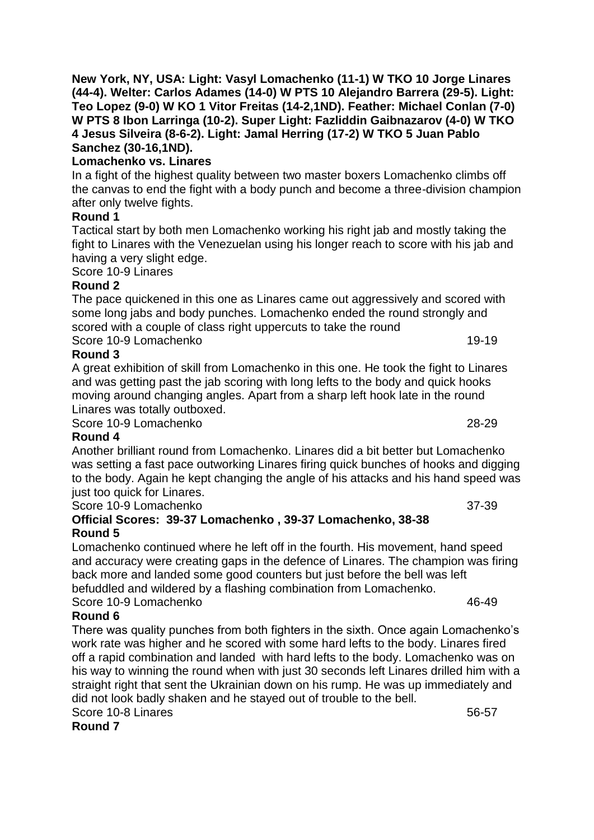# **Lomachenko vs. Linares**

In a fight of the highest quality between two master boxers Lomachenko climbs off the canvas to end the fight with a body punch and become a three-division champion after only twelve fights.

# **Round 1**

Tactical start by both men Lomachenko working his right jab and mostly taking the fight to Linares with the Venezuelan using his longer reach to score with his jab and having a very slight edge.

Score 10-9 Linares

# **Round 2**

The pace quickened in this one as Linares came out aggressively and scored with some long jabs and body punches. Lomachenko ended the round strongly and scored with a couple of class right uppercuts to take the round Score 10-9 Lomachenko 19-19

**Round 3**

A great exhibition of skill from Lomachenko in this one. He took the fight to Linares and was getting past the jab scoring with long lefts to the body and quick hooks moving around changing angles. Apart from a sharp left hook late in the round Linares was totally outboxed.

Score 10-9 Lomachenko 28-29

# **Round 4**

Another brilliant round from Lomachenko. Linares did a bit better but Lomachenko was setting a fast pace outworking Linares firing quick bunches of hooks and digging to the body. Again he kept changing the angle of his attacks and his hand speed was just too quick for Linares.

Score 10-9 Lomachenko 37-39

# **Official Scores: 39-37 Lomachenko , 39-37 Lomachenko, 38-38 Round 5**

Lomachenko continued where he left off in the fourth. His movement, hand speed and accuracy were creating gaps in the defence of Linares. The champion was firing back more and landed some good counters but just before the bell was left befuddled and wildered by a flashing combination from Lomachenko.

Score 10-9 Lomachenko 46-49

# **Round 6**

There was quality punches from both fighters in the sixth. Once again Lomachenko's work rate was higher and he scored with some hard lefts to the body. Linares fired off a rapid combination and landed with hard lefts to the body. Lomachenko was on his way to winning the round when with just 30 seconds left Linares drilled him with a straight right that sent the Ukrainian down on his rump. He was up immediately and did not look badly shaken and he stayed out of trouble to the bell. Score 10-8 Linares 56-57

**Round 7**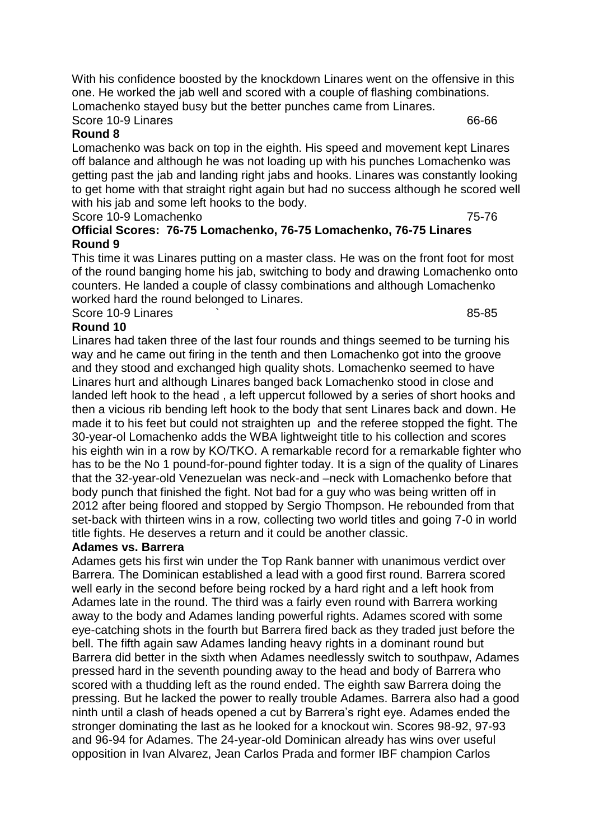With his confidence boosted by the knockdown Linares went on the offensive in this one. He worked the jab well and scored with a couple of flashing combinations. Lomachenko stayed busy but the better punches came from Linares. Score 10-9 Linares 66-66

### **Round 8**

Lomachenko was back on top in the eighth. His speed and movement kept Linares off balance and although he was not loading up with his punches Lomachenko was getting past the jab and landing right jabs and hooks. Linares was constantly looking to get home with that straight right again but had no success although he scored well with his jab and some left hooks to the body.

Score 10-9 Lomachenko 75-76

# **Official Scores: 76-75 Lomachenko, 76-75 Lomachenko, 76-75 Linares Round 9**

This time it was Linares putting on a master class. He was on the front foot for most of the round banging home his jab, switching to body and drawing Lomachenko onto counters. He landed a couple of classy combinations and although Lomachenko worked hard the round belonged to Linares. Score 10-9 Linares **but the second set of the set of the set of the set of the set of the set of the set of the set of the set of the set of the set of the set of the set of the set of the set of the set of the set of the** 

### **Round 10**

Linares had taken three of the last four rounds and things seemed to be turning his way and he came out firing in the tenth and then Lomachenko got into the groove and they stood and exchanged high quality shots. Lomachenko seemed to have Linares hurt and although Linares banged back Lomachenko stood in close and landed left hook to the head , a left uppercut followed by a series of short hooks and then a vicious rib bending left hook to the body that sent Linares back and down. He made it to his feet but could not straighten up and the referee stopped the fight. The 30-year-ol Lomachenko adds the WBA lightweight title to his collection and scores his eighth win in a row by KO/TKO. A remarkable record for a remarkable fighter who has to be the No 1 pound-for-pound fighter today. It is a sign of the quality of Linares that the 32-year-old Venezuelan was neck-and –neck with Lomachenko before that body punch that finished the fight. Not bad for a guy who was being written off in 2012 after being floored and stopped by Sergio Thompson. He rebounded from that set-back with thirteen wins in a row, collecting two world titles and going 7-0 in world title fights. He deserves a return and it could be another classic.

#### **Adames vs. Barrera**

Adames gets his first win under the Top Rank banner with unanimous verdict over Barrera. The Dominican established a lead with a good first round. Barrera scored well early in the second before being rocked by a hard right and a left hook from Adames late in the round. The third was a fairly even round with Barrera working away to the body and Adames landing powerful rights. Adames scored with some eye-catching shots in the fourth but Barrera fired back as they traded just before the bell. The fifth again saw Adames landing heavy rights in a dominant round but Barrera did better in the sixth when Adames needlessly switch to southpaw, Adames pressed hard in the seventh pounding away to the head and body of Barrera who scored with a thudding left as the round ended. The eighth saw Barrera doing the pressing. But he lacked the power to really trouble Adames. Barrera also had a good ninth until a clash of heads opened a cut by Barrera's right eye. Adames ended the stronger dominating the last as he looked for a knockout win. Scores 98-92, 97-93 and 96-94 for Adames. The 24-year-old Dominican already has wins over useful opposition in Ivan Alvarez, Jean Carlos Prada and former IBF champion Carlos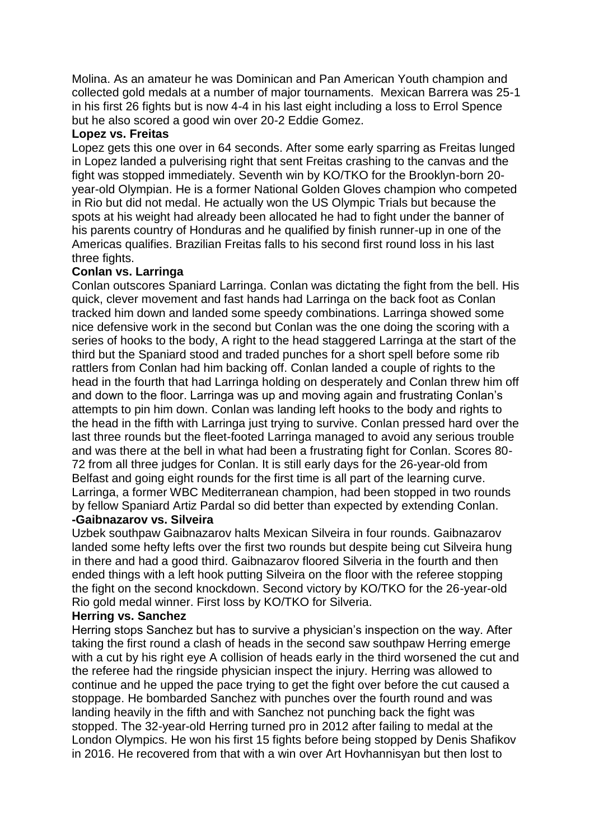Molina. As an amateur he was Dominican and Pan American Youth champion and collected gold medals at a number of major tournaments. Mexican Barrera was 25-1 in his first 26 fights but is now 4-4 in his last eight including a loss to Errol Spence but he also scored a good win over 20-2 Eddie Gomez.

#### **Lopez vs. Freitas**

Lopez gets this one over in 64 seconds. After some early sparring as Freitas lunged in Lopez landed a pulverising right that sent Freitas crashing to the canvas and the fight was stopped immediately. Seventh win by KO/TKO for the Brooklyn-born 20 year-old Olympian. He is a former National Golden Gloves champion who competed in Rio but did not medal. He actually won the US Olympic Trials but because the spots at his weight had already been allocated he had to fight under the banner of his parents country of Honduras and he qualified by finish runner-up in one of the Americas qualifies. Brazilian Freitas falls to his second first round loss in his last three fights.

### **Conlan vs. Larringa**

Conlan outscores Spaniard Larringa. Conlan was dictating the fight from the bell. His quick, clever movement and fast hands had Larringa on the back foot as Conlan tracked him down and landed some speedy combinations. Larringa showed some nice defensive work in the second but Conlan was the one doing the scoring with a series of hooks to the body, A right to the head staggered Larringa at the start of the third but the Spaniard stood and traded punches for a short spell before some rib rattlers from Conlan had him backing off. Conlan landed a couple of rights to the head in the fourth that had Larringa holding on desperately and Conlan threw him off and down to the floor. Larringa was up and moving again and frustrating Conlan's attempts to pin him down. Conlan was landing left hooks to the body and rights to the head in the fifth with Larringa just trying to survive. Conlan pressed hard over the last three rounds but the fleet-footed Larringa managed to avoid any serious trouble and was there at the bell in what had been a frustrating fight for Conlan. Scores 80- 72 from all three judges for Conlan. It is still early days for the 26-year-old from Belfast and going eight rounds for the first time is all part of the learning curve. Larringa, a former WBC Mediterranean champion, had been stopped in two rounds by fellow Spaniard Artiz Pardal so did better than expected by extending Conlan.

# **-Gaibnazarov vs. Silveira**

Uzbek southpaw Gaibnazarov halts Mexican Silveira in four rounds. Gaibnazarov landed some hefty lefts over the first two rounds but despite being cut Silveira hung in there and had a good third. Gaibnazarov floored Silveria in the fourth and then ended things with a left hook putting Silveira on the floor with the referee stopping the fight on the second knockdown. Second victory by KO/TKO for the 26-year-old Rio gold medal winner. First loss by KO/TKO for Silveria.

## **Herring vs. Sanchez**

Herring stops Sanchez but has to survive a physician's inspection on the way. After taking the first round a clash of heads in the second saw southpaw Herring emerge with a cut by his right eye A collision of heads early in the third worsened the cut and the referee had the ringside physician inspect the injury. Herring was allowed to continue and he upped the pace trying to get the fight over before the cut caused a stoppage. He bombarded Sanchez with punches over the fourth round and was landing heavily in the fifth and with Sanchez not punching back the fight was stopped. The 32-year-old Herring turned pro in 2012 after failing to medal at the London Olympics. He won his first 15 fights before being stopped by Denis Shafikov in 2016. He recovered from that with a win over Art Hovhannisyan but then lost to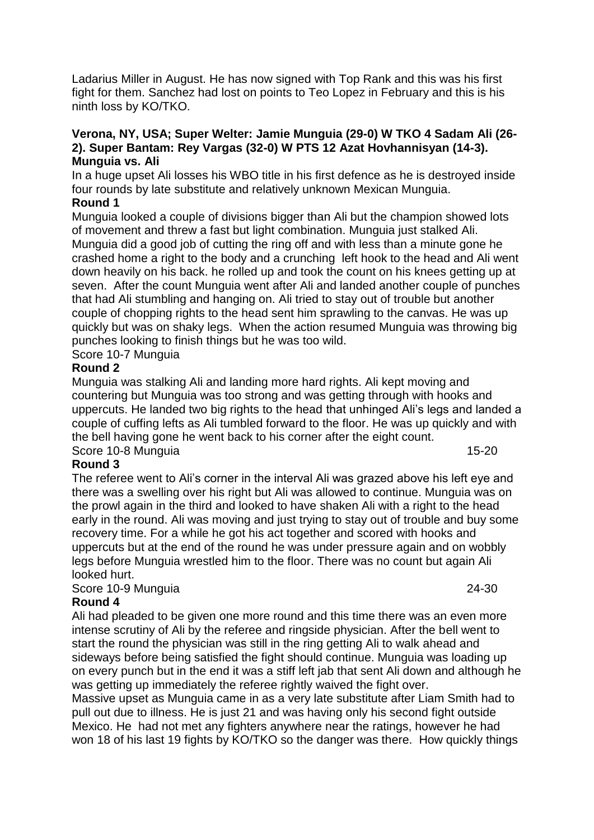Ladarius Miller in August. He has now signed with Top Rank and this was his first fight for them. Sanchez had lost on points to Teo Lopez in February and this is his ninth loss by KO/TKO.

#### **Verona, NY, USA; Super Welter: Jamie Munguia (29-0) W TKO 4 Sadam Ali (26- 2). Super Bantam: Rey Vargas (32-0) W PTS 12 Azat Hovhannisyan (14-3). Munguia vs. Ali**

In a huge upset Ali losses his WBO title in his first defence as he is destroyed inside four rounds by late substitute and relatively unknown Mexican Munguia.

### **Round 1**

Munguia looked a couple of divisions bigger than Ali but the champion showed lots of movement and threw a fast but light combination. Munguia just stalked Ali. Munguia did a good job of cutting the ring off and with less than a minute gone he crashed home a right to the body and a crunching left hook to the head and Ali went down heavily on his back. he rolled up and took the count on his knees getting up at seven. After the count Munguia went after Ali and landed another couple of punches that had Ali stumbling and hanging on. Ali tried to stay out of trouble but another couple of chopping rights to the head sent him sprawling to the canvas. He was up quickly but was on shaky legs. When the action resumed Munguia was throwing big punches looking to finish things but he was too wild.

Score 10-7 Munguia

# **Round 2**

Munguia was stalking Ali and landing more hard rights. Ali kept moving and countering but Munguia was too strong and was getting through with hooks and uppercuts. He landed two big rights to the head that unhinged Ali's legs and landed a couple of cuffing lefts as Ali tumbled forward to the floor. He was up quickly and with the bell having gone he went back to his corner after the eight count. Score 10-8 Munguia 15-20

# **Round 3**

The referee went to Ali's corner in the interval Ali was grazed above his left eye and there was a swelling over his right but Ali was allowed to continue. Munguia was on the prowl again in the third and looked to have shaken Ali with a right to the head early in the round. Ali was moving and just trying to stay out of trouble and buy some recovery time. For a while he got his act together and scored with hooks and uppercuts but at the end of the round he was under pressure again and on wobbly legs before Munguia wrestled him to the floor. There was no count but again Ali looked hurt.

Score 10-9 Munguia 24-30

# **Round 4**

Ali had pleaded to be given one more round and this time there was an even more intense scrutiny of Ali by the referee and ringside physician. After the bell went to start the round the physician was still in the ring getting Ali to walk ahead and sideways before being satisfied the fight should continue. Munguia was loading up on every punch but in the end it was a stiff left jab that sent Ali down and although he was getting up immediately the referee rightly waived the fight over.

Massive upset as Munguia came in as a very late substitute after Liam Smith had to pull out due to illness. He is just 21 and was having only his second fight outside Mexico. He had not met any fighters anywhere near the ratings, however he had won 18 of his last 19 fights by KO/TKO so the danger was there. How quickly things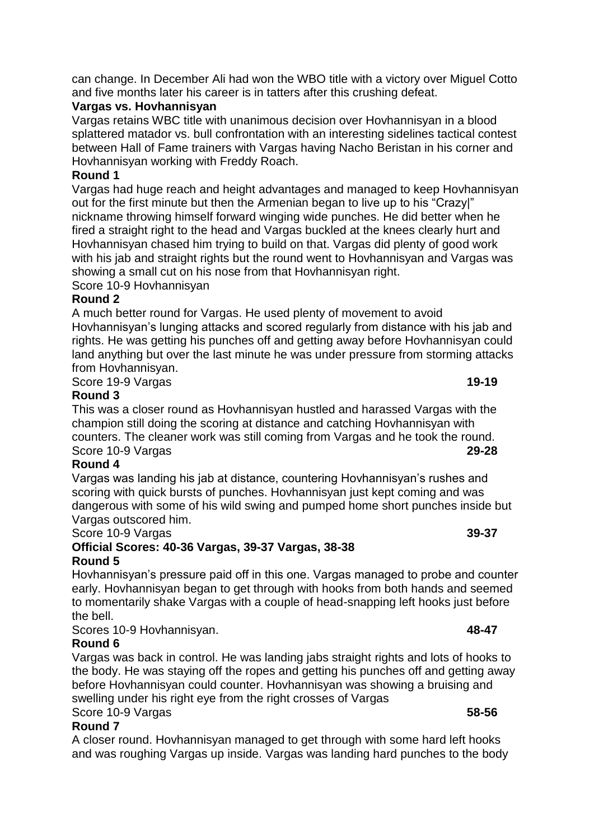# **Vargas vs. Hovhannisyan**

Vargas retains WBC title with unanimous decision over Hovhannisyan in a blood splattered matador vs. bull confrontation with an interesting sidelines tactical contest between Hall of Fame trainers with Vargas having Nacho Beristan in his corner and Hovhannisyan working with Freddy Roach.

# **Round 1**

Vargas had huge reach and height advantages and managed to keep Hovhannisyan out for the first minute but then the Armenian began to live up to his "Crazy|" nickname throwing himself forward winging wide punches. He did better when he fired a straight right to the head and Vargas buckled at the knees clearly hurt and Hovhannisyan chased him trying to build on that. Vargas did plenty of good work with his jab and straight rights but the round went to Hovhannisyan and Vargas was showing a small cut on his nose from that Hovhannisyan right.

Score 10-9 Hovhannisyan

# **Round 2**

A much better round for Vargas. He used plenty of movement to avoid Hovhannisyan's lunging attacks and scored regularly from distance with his jab and rights. He was getting his punches off and getting away before Hovhannisyan could land anything but over the last minute he was under pressure from storming attacks from Hovhannisyan. Score 19-9 Vargas **19-19** 

# **Round 3**

This was a closer round as Hovhannisyan hustled and harassed Vargas with the champion still doing the scoring at distance and catching Hovhannisyan with counters. The cleaner work was still coming from Vargas and he took the round. Score 10-9 Vargas **29-28**

# **Round 4**

Vargas was landing his jab at distance, countering Hovhannisyan's rushes and scoring with quick bursts of punches. Hovhannisyan just kept coming and was dangerous with some of his wild swing and pumped home short punches inside but Vargas outscored him.

# Score 10-9 Vargas **39-37**

# **Official Scores: 40-36 Vargas, 39-37 Vargas, 38-38 Round 5**

Hovhannisyan's pressure paid off in this one. Vargas managed to probe and counter early. Hovhannisyan began to get through with hooks from both hands and seemed to momentarily shake Vargas with a couple of head-snapping left hooks just before the bell.

Scores 10-9 Hovhannisyan. **48-47**

# **Round 6**

Vargas was back in control. He was landing jabs straight rights and lots of hooks to the body. He was staying off the ropes and getting his punches off and getting away before Hovhannisyan could counter. Hovhannisyan was showing a bruising and swelling under his right eye from the right crosses of Vargas Score 10-9 Vargas **58-56**

# **Round 7**

A closer round. Hovhannisyan managed to get through with some hard left hooks and was roughing Vargas up inside. Vargas was landing hard punches to the body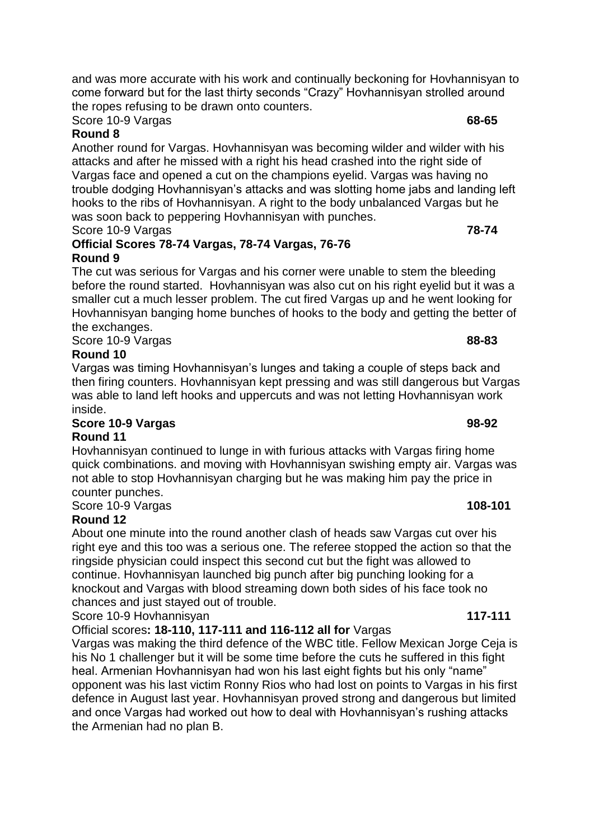and was more accurate with his work and continually beckoning for Hovhannisyan to come forward but for the last thirty seconds "Crazy" Hovhannisyan strolled around the ropes refusing to be drawn onto counters.

Score 10-9 Vargas **68-65**

# **Round 8**

Another round for Vargas. Hovhannisyan was becoming wilder and wilder with his attacks and after he missed with a right his head crashed into the right side of Vargas face and opened a cut on the champions eyelid. Vargas was having no trouble dodging Hovhannisyan's attacks and was slotting home jabs and landing left hooks to the ribs of Hovhannisyan. A right to the body unbalanced Vargas but he was soon back to peppering Hovhannisyan with punches. Score 10-9 Vargas **78-74**

# **Official Scores 78-74 Vargas, 78-74 Vargas, 76-76 Round 9**

The cut was serious for Vargas and his corner were unable to stem the bleeding before the round started. Hovhannisyan was also cut on his right eyelid but it was a smaller cut a much lesser problem. The cut fired Vargas up and he went looking for Hovhannisyan banging home bunches of hooks to the body and getting the better of the exchanges.

Score 10-9 Vargas **88-83**

# **Round 10**

Vargas was timing Hovhannisyan's lunges and taking a couple of steps back and then firing counters. Hovhannisyan kept pressing and was still dangerous but Vargas was able to land left hooks and uppercuts and was not letting Hovhannisyan work inside.

# **Score 10-9 Vargas 98-92**

# **Round 11**

Hovhannisyan continued to lunge in with furious attacks with Vargas firing home quick combinations. and moving with Hovhannisyan swishing empty air. Vargas was not able to stop Hovhannisyan charging but he was making him pay the price in counter punches.

Score 10-9 Vargas **108-101** 

# **Round 12**

About one minute into the round another clash of heads saw Vargas cut over his right eye and this too was a serious one. The referee stopped the action so that the ringside physician could inspect this second cut but the fight was allowed to continue. Hovhannisyan launched big punch after big punching looking for a knockout and Vargas with blood streaming down both sides of his face took no chances and just stayed out of trouble.

Score 10-9 Hovhannisyan **117-111**

# Official scores**: 18-110, 117-111 and 116-112 all for** Vargas

Vargas was making the third defence of the WBC title. Fellow Mexican Jorge Ceja is his No 1 challenger but it will be some time before the cuts he suffered in this fight heal. Armenian Hovhannisyan had won his last eight fights but his only "name" opponent was his last victim Ronny Rios who had lost on points to Vargas in his first defence in August last year. Hovhannisyan proved strong and dangerous but limited and once Vargas had worked out how to deal with Hovhannisyan's rushing attacks the Armenian had no plan B.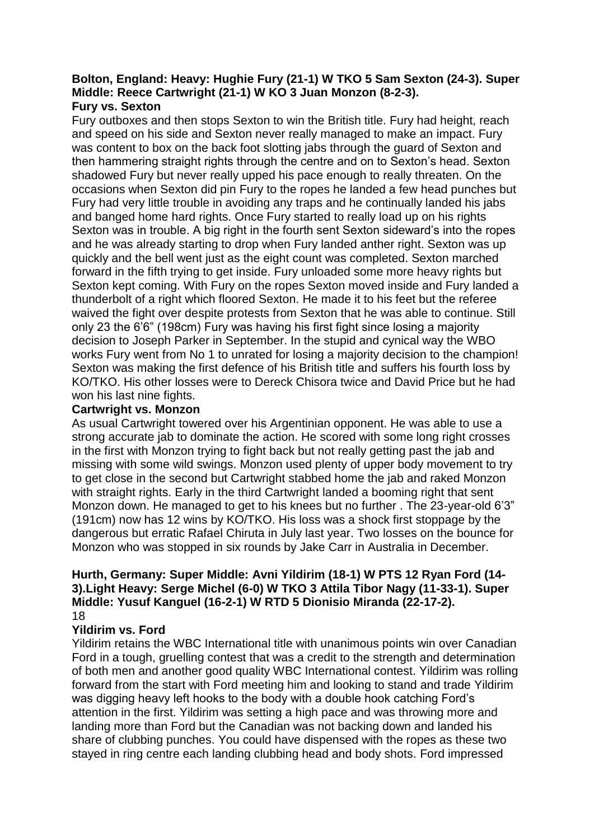#### **Bolton, England: Heavy: Hughie Fury (21-1) W TKO 5 Sam Sexton (24-3). Super Middle: Reece Cartwright (21-1) W KO 3 Juan Monzon (8-2-3). Fury vs. Sexton**

Fury outboxes and then stops Sexton to win the British title. Fury had height, reach and speed on his side and Sexton never really managed to make an impact. Fury was content to box on the back foot slotting jabs through the guard of Sexton and then hammering straight rights through the centre and on to Sexton's head. Sexton shadowed Fury but never really upped his pace enough to really threaten. On the occasions when Sexton did pin Fury to the ropes he landed a few head punches but Fury had very little trouble in avoiding any traps and he continually landed his jabs and banged home hard rights. Once Fury started to really load up on his rights Sexton was in trouble. A big right in the fourth sent Sexton sideward's into the ropes and he was already starting to drop when Fury landed anther right. Sexton was up quickly and the bell went just as the eight count was completed. Sexton marched forward in the fifth trying to get inside. Fury unloaded some more heavy rights but Sexton kept coming. With Fury on the ropes Sexton moved inside and Fury landed a thunderbolt of a right which floored Sexton. He made it to his feet but the referee waived the fight over despite protests from Sexton that he was able to continue. Still only 23 the 6'6" (198cm) Fury was having his first fight since losing a majority decision to Joseph Parker in September. In the stupid and cynical way the WBO works Fury went from No 1 to unrated for losing a majority decision to the champion! Sexton was making the first defence of his British title and suffers his fourth loss by KO/TKO. His other losses were to Dereck Chisora twice and David Price but he had won his last nine fights.

# **Cartwright vs. Monzon**

As usual Cartwright towered over his Argentinian opponent. He was able to use a strong accurate jab to dominate the action. He scored with some long right crosses in the first with Monzon trying to fight back but not really getting past the jab and missing with some wild swings. Monzon used plenty of upper body movement to try to get close in the second but Cartwright stabbed home the jab and raked Monzon with straight rights. Early in the third Cartwright landed a booming right that sent Monzon down. He managed to get to his knees but no further . The 23-year-old 6'3" (191cm) now has 12 wins by KO/TKO. His loss was a shock first stoppage by the dangerous but erratic Rafael Chiruta in July last year. Two losses on the bounce for Monzon who was stopped in six rounds by Jake Carr in Australia in December.

#### **Hurth, Germany: Super Middle: Avni Yildirim (18-1) W PTS 12 Ryan Ford (14- 3).Light Heavy: Serge Michel (6-0) W TKO 3 Attila Tibor Nagy (11-33-1). Super Middle: Yusuf Kanguel (16-2-1) W RTD 5 Dionisio Miranda (22-17-2).** 18

# **Yildirim vs. Ford**

Yildirim retains the WBC International title with unanimous points win over Canadian Ford in a tough, gruelling contest that was a credit to the strength and determination of both men and another good quality WBC International contest. Yildirim was rolling forward from the start with Ford meeting him and looking to stand and trade Yildirim was digging heavy left hooks to the body with a double hook catching Ford's attention in the first. Yildirim was setting a high pace and was throwing more and landing more than Ford but the Canadian was not backing down and landed his share of clubbing punches. You could have dispensed with the ropes as these two stayed in ring centre each landing clubbing head and body shots. Ford impressed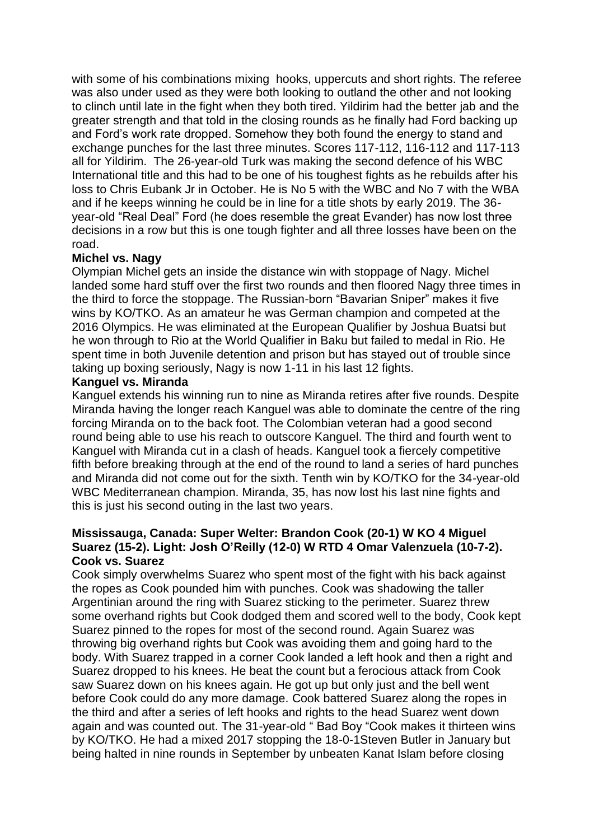with some of his combinations mixing hooks, uppercuts and short rights. The referee was also under used as they were both looking to outland the other and not looking to clinch until late in the fight when they both tired. Yildirim had the better jab and the greater strength and that told in the closing rounds as he finally had Ford backing up and Ford's work rate dropped. Somehow they both found the energy to stand and exchange punches for the last three minutes. Scores 117-112, 116-112 and 117-113 all for Yildirim. The 26-year-old Turk was making the second defence of his WBC International title and this had to be one of his toughest fights as he rebuilds after his loss to Chris Eubank Jr in October. He is No 5 with the WBC and No 7 with the WBA and if he keeps winning he could be in line for a title shots by early 2019. The 36 year-old "Real Deal" Ford (he does resemble the great Evander) has now lost three decisions in a row but this is one tough fighter and all three losses have been on the road.

# **Michel vs. Nagy**

Olympian Michel gets an inside the distance win with stoppage of Nagy. Michel landed some hard stuff over the first two rounds and then floored Nagy three times in the third to force the stoppage. The Russian-born "Bavarian Sniper" makes it five wins by KO/TKO. As an amateur he was German champion and competed at the 2016 Olympics. He was eliminated at the European Qualifier by Joshua Buatsi but he won through to Rio at the World Qualifier in Baku but failed to medal in Rio. He spent time in both Juvenile detention and prison but has stayed out of trouble since taking up boxing seriously, Nagy is now 1-11 in his last 12 fights.

### **Kanguel vs. Miranda**

Kanguel extends his winning run to nine as Miranda retires after five rounds. Despite Miranda having the longer reach Kanguel was able to dominate the centre of the ring forcing Miranda on to the back foot. The Colombian veteran had a good second round being able to use his reach to outscore Kanguel. The third and fourth went to Kanguel with Miranda cut in a clash of heads. Kanguel took a fiercely competitive fifth before breaking through at the end of the round to land a series of hard punches and Miranda did not come out for the sixth. Tenth win by KO/TKO for the 34-year-old WBC Mediterranean champion. Miranda, 35, has now lost his last nine fights and this is just his second outing in the last two years.

### **Mississauga, Canada: Super Welter: Brandon Cook (20-1) W KO 4 Miguel Suarez (15-2). Light: Josh O'Reilly (12-0) W RTD 4 Omar Valenzuela (10-7-2). Cook vs. Suarez**

Cook simply overwhelms Suarez who spent most of the fight with his back against the ropes as Cook pounded him with punches. Cook was shadowing the taller Argentinian around the ring with Suarez sticking to the perimeter. Suarez threw some overhand rights but Cook dodged them and scored well to the body, Cook kept Suarez pinned to the ropes for most of the second round. Again Suarez was throwing big overhand rights but Cook was avoiding them and going hard to the body. With Suarez trapped in a corner Cook landed a left hook and then a right and Suarez dropped to his knees. He beat the count but a ferocious attack from Cook saw Suarez down on his knees again. He got up but only just and the bell went before Cook could do any more damage. Cook battered Suarez along the ropes in the third and after a series of left hooks and rights to the head Suarez went down again and was counted out. The 31-year-old " Bad Boy "Cook makes it thirteen wins by KO/TKO. He had a mixed 2017 stopping the 18-0-1Steven Butler in January but being halted in nine rounds in September by unbeaten Kanat Islam before closing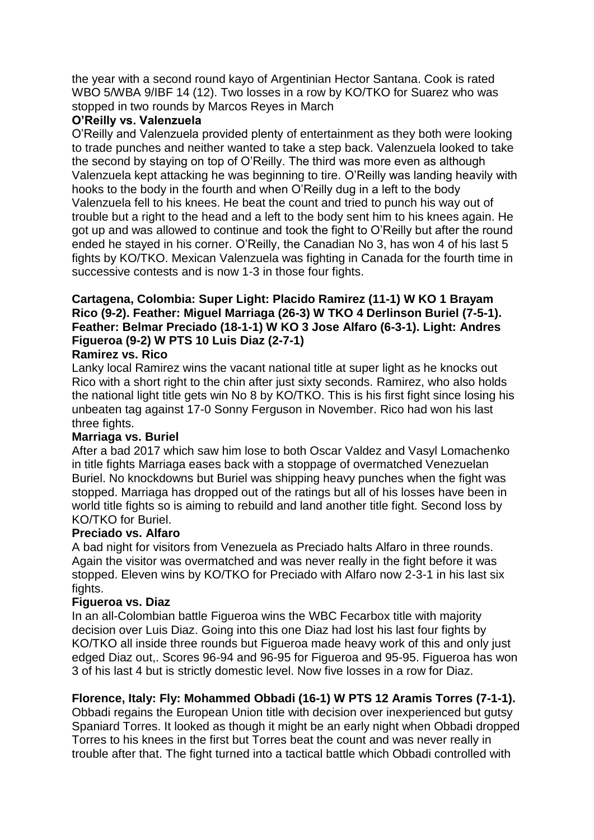the year with a second round kayo of Argentinian Hector Santana. Cook is rated WBO 5/WBA 9/IBF 14 (12). Two losses in a row by KO/TKO for Suarez who was stopped in two rounds by Marcos Reyes in March

# **O'Reilly vs. Valenzuela**

O'Reilly and Valenzuela provided plenty of entertainment as they both were looking to trade punches and neither wanted to take a step back. Valenzuela looked to take the second by staying on top of O'Reilly. The third was more even as although Valenzuela kept attacking he was beginning to tire. O'Reilly was landing heavily with hooks to the body in the fourth and when O'Reilly dug in a left to the body Valenzuela fell to his knees. He beat the count and tried to punch his way out of trouble but a right to the head and a left to the body sent him to his knees again. He got up and was allowed to continue and took the fight to O'Reilly but after the round ended he stayed in his corner. O'Reilly, the Canadian No 3, has won 4 of his last 5 fights by KO/TKO. Mexican Valenzuela was fighting in Canada for the fourth time in successive contests and is now 1-3 in those four fights.

# **Cartagena, Colombia: Super Light: Placido Ramirez (11-1) W KO 1 Brayam Rico (9-2). Feather: Miguel Marriaga (26-3) W TKO 4 Derlinson Buriel (7-5-1). Feather: Belmar Preciado (18-1-1) W KO 3 Jose Alfaro (6-3-1). Light: Andres Figueroa (9-2) W PTS 10 Luis Diaz (2-7-1)**

# **Ramirez vs. Rico**

Lanky local Ramirez wins the vacant national title at super light as he knocks out Rico with a short right to the chin after just sixty seconds. Ramirez, who also holds the national light title gets win No 8 by KO/TKO. This is his first fight since losing his unbeaten tag against 17-0 Sonny Ferguson in November. Rico had won his last three fights.

# **Marriaga vs. Buriel**

After a bad 2017 which saw him lose to both Oscar Valdez and Vasyl Lomachenko in title fights Marriaga eases back with a stoppage of overmatched Venezuelan Buriel. No knockdowns but Buriel was shipping heavy punches when the fight was stopped. Marriaga has dropped out of the ratings but all of his losses have been in world title fights so is aiming to rebuild and land another title fight. Second loss by KO/TKO for Buriel.

# **Preciado vs. Alfaro**

A bad night for visitors from Venezuela as Preciado halts Alfaro in three rounds. Again the visitor was overmatched and was never really in the fight before it was stopped. Eleven wins by KO/TKO for Preciado with Alfaro now 2-3-1 in his last six fights.

# **Figueroa vs. Diaz**

In an all-Colombian battle Figueroa wins the WBC Fecarbox title with majority decision over Luis Diaz. Going into this one Diaz had lost his last four fights by KO/TKO all inside three rounds but Figueroa made heavy work of this and only just edged Diaz out,. Scores 96-94 and 96-95 for Figueroa and 95-95. Figueroa has won 3 of his last 4 but is strictly domestic level. Now five losses in a row for Diaz.

# **Florence, Italy: Fly: Mohammed Obbadi (16-1) W PTS 12 Aramis Torres (7-1-1).**

Obbadi regains the European Union title with decision over inexperienced but gutsy Spaniard Torres. It looked as though it might be an early night when Obbadi dropped Torres to his knees in the first but Torres beat the count and was never really in trouble after that. The fight turned into a tactical battle which Obbadi controlled with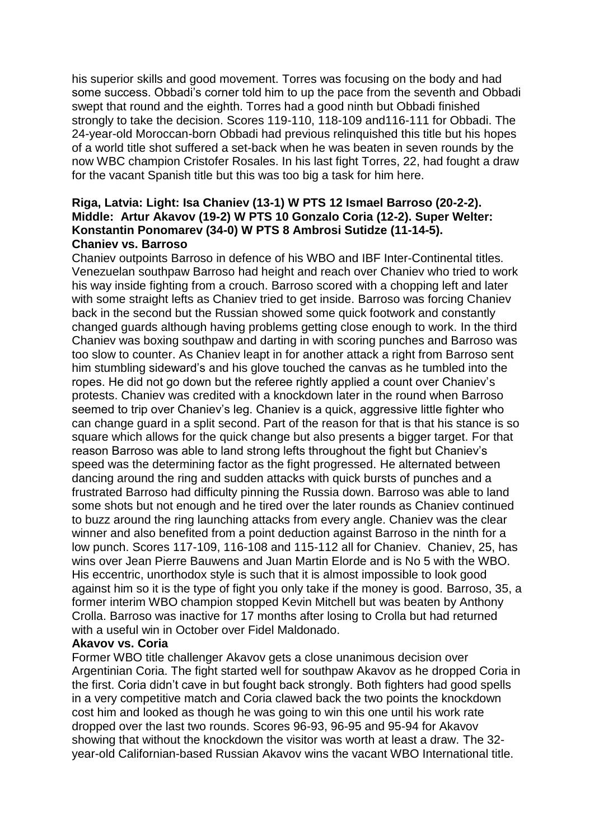his superior skills and good movement. Torres was focusing on the body and had some success. Obbadi's corner told him to up the pace from the seventh and Obbadi swept that round and the eighth. Torres had a good ninth but Obbadi finished strongly to take the decision. Scores 119-110, 118-109 and116-111 for Obbadi. The 24-year-old Moroccan-born Obbadi had previous relinquished this title but his hopes of a world title shot suffered a set-back when he was beaten in seven rounds by the now WBC champion Cristofer Rosales. In his last fight Torres, 22, had fought a draw for the vacant Spanish title but this was too big a task for him here.

# **Riga, Latvia: Light: Isa Chaniev (13-1) W PTS 12 Ismael Barroso (20-2-2). Middle: Artur Akavov (19-2) W PTS 10 Gonzalo Coria (12-2). Super Welter: Konstantin Ponomarev (34-0) W PTS 8 Ambrosi Sutidze (11-14-5). Chaniev vs. Barroso**

Chaniev outpoints Barroso in defence of his WBO and IBF Inter-Continental titles. Venezuelan southpaw Barroso had height and reach over Chaniev who tried to work his way inside fighting from a crouch. Barroso scored with a chopping left and later with some straight lefts as Chaniev tried to get inside. Barroso was forcing Chaniev back in the second but the Russian showed some quick footwork and constantly changed guards although having problems getting close enough to work. In the third Chaniev was boxing southpaw and darting in with scoring punches and Barroso was too slow to counter. As Chaniev leapt in for another attack a right from Barroso sent him stumbling sideward's and his glove touched the canvas as he tumbled into the ropes. He did not go down but the referee rightly applied a count over Chaniev's protests. Chaniev was credited with a knockdown later in the round when Barroso seemed to trip over Chaniev's leg. Chaniev is a quick, aggressive little fighter who can change guard in a split second. Part of the reason for that is that his stance is so square which allows for the quick change but also presents a bigger target. For that reason Barroso was able to land strong lefts throughout the fight but Chaniev's speed was the determining factor as the fight progressed. He alternated between dancing around the ring and sudden attacks with quick bursts of punches and a frustrated Barroso had difficulty pinning the Russia down. Barroso was able to land some shots but not enough and he tired over the later rounds as Chaniev continued to buzz around the ring launching attacks from every angle. Chaniev was the clear winner and also benefited from a point deduction against Barroso in the ninth for a low punch. Scores 117-109, 116-108 and 115-112 all for Chaniev. Chaniev, 25, has wins over Jean Pierre Bauwens and Juan Martin Elorde and is No 5 with the WBO. His eccentric, unorthodox style is such that it is almost impossible to look good against him so it is the type of fight you only take if the money is good. Barroso, 35, a former interim WBO champion stopped Kevin Mitchell but was beaten by Anthony Crolla. Barroso was inactive for 17 months after losing to Crolla but had returned with a useful win in October over Fidel Maldonado.

#### **Akavov vs. Coria**

Former WBO title challenger Akavov gets a close unanimous decision over Argentinian Coria. The fight started well for southpaw Akavov as he dropped Coria in the first. Coria didn't cave in but fought back strongly. Both fighters had good spells in a very competitive match and Coria clawed back the two points the knockdown cost him and looked as though he was going to win this one until his work rate dropped over the last two rounds. Scores 96-93, 96-95 and 95-94 for Akavov showing that without the knockdown the visitor was worth at least a draw. The 32 year-old Californian-based Russian Akavov wins the vacant WBO International title.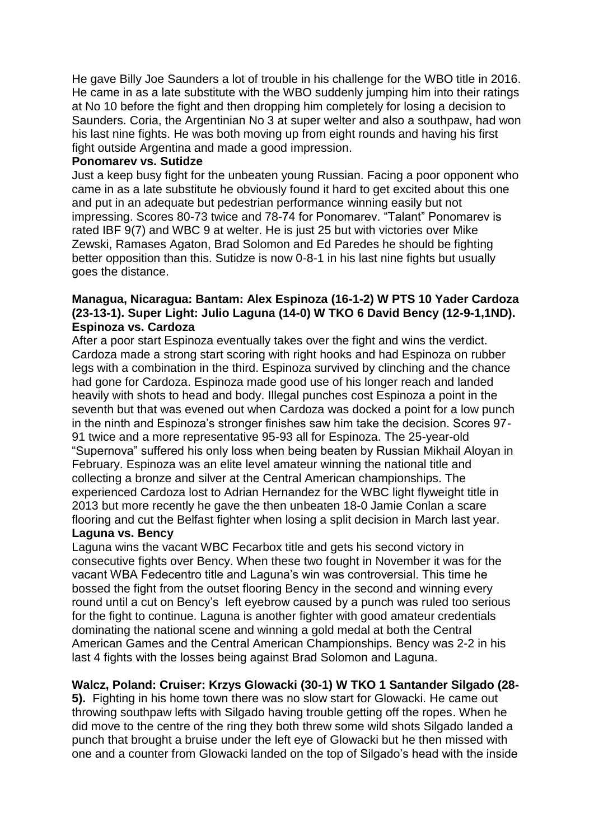He gave Billy Joe Saunders a lot of trouble in his challenge for the WBO title in 2016. He came in as a late substitute with the WBO suddenly jumping him into their ratings at No 10 before the fight and then dropping him completely for losing a decision to Saunders. Coria, the Argentinian No 3 at super welter and also a southpaw, had won his last nine fights. He was both moving up from eight rounds and having his first fight outside Argentina and made a good impression.

#### **Ponomarev vs. Sutidze**

Just a keep busy fight for the unbeaten young Russian. Facing a poor opponent who came in as a late substitute he obviously found it hard to get excited about this one and put in an adequate but pedestrian performance winning easily but not impressing. Scores 80-73 twice and 78-74 for Ponomarev. "Talant" Ponomarev is rated IBF 9(7) and WBC 9 at welter. He is just 25 but with victories over Mike Zewski, Ramases Agaton, Brad Solomon and Ed Paredes he should be fighting better opposition than this. Sutidze is now 0-8-1 in his last nine fights but usually goes the distance.

# **Managua, Nicaragua: Bantam: Alex Espinoza (16-1-2) W PTS 10 Yader Cardoza (23-13-1). Super Light: Julio Laguna (14-0) W TKO 6 David Bency (12-9-1,1ND). Espinoza vs. Cardoza**

After a poor start Espinoza eventually takes over the fight and wins the verdict. Cardoza made a strong start scoring with right hooks and had Espinoza on rubber legs with a combination in the third. Espinoza survived by clinching and the chance had gone for Cardoza. Espinoza made good use of his longer reach and landed heavily with shots to head and body. Illegal punches cost Espinoza a point in the seventh but that was evened out when Cardoza was docked a point for a low punch in the ninth and Espinoza's stronger finishes saw him take the decision. Scores 97- 91 twice and a more representative 95-93 all for Espinoza. The 25-year-old "Supernova" suffered his only loss when being beaten by Russian Mikhail Aloyan in February. Espinoza was an elite level amateur winning the national title and collecting a bronze and silver at the Central American championships. The experienced Cardoza lost to Adrian Hernandez for the WBC light flyweight title in 2013 but more recently he gave the then unbeaten 18-0 Jamie Conlan a scare flooring and cut the Belfast fighter when losing a split decision in March last year.

# **Laguna vs. Bency**

Laguna wins the vacant WBC Fecarbox title and gets his second victory in consecutive fights over Bency. When these two fought in November it was for the vacant WBA Fedecentro title and Laguna's win was controversial. This time he bossed the fight from the outset flooring Bency in the second and winning every round until a cut on Bency's left eyebrow caused by a punch was ruled too serious for the fight to continue. Laguna is another fighter with good amateur credentials dominating the national scene and winning a gold medal at both the Central American Games and the Central American Championships. Bency was 2-2 in his last 4 fights with the losses being against Brad Solomon and Laguna.

# **Walcz, Poland: Cruiser: Krzys Glowacki (30-1) W TKO 1 Santander Silgado (28-**

**5).** Fighting in his home town there was no slow start for Glowacki. He came out throwing southpaw lefts with Silgado having trouble getting off the ropes. When he did move to the centre of the ring they both threw some wild shots Silgado landed a punch that brought a bruise under the left eye of Glowacki but he then missed with one and a counter from Glowacki landed on the top of Silgado's head with the inside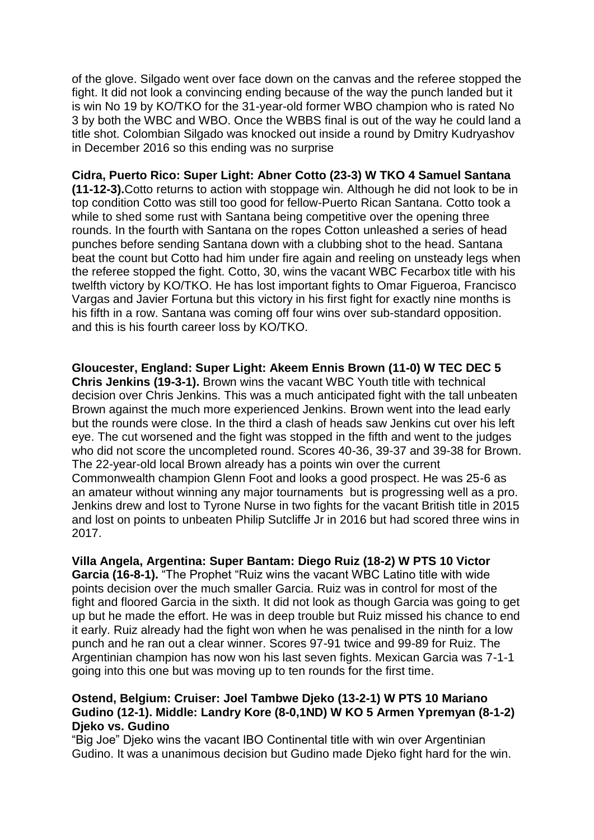of the glove. Silgado went over face down on the canvas and the referee stopped the fight. It did not look a convincing ending because of the way the punch landed but it is win No 19 by KO/TKO for the 31-year-old former WBO champion who is rated No 3 by both the WBC and WBO. Once the WBBS final is out of the way he could land a title shot. Colombian Silgado was knocked out inside a round by Dmitry Kudryashov in December 2016 so this ending was no surprise

**Cidra, Puerto Rico: Super Light: Abner Cotto (23-3) W TKO 4 Samuel Santana (11-12-3).**Cotto returns to action with stoppage win. Although he did not look to be in top condition Cotto was still too good for fellow-Puerto Rican Santana. Cotto took a while to shed some rust with Santana being competitive over the opening three rounds. In the fourth with Santana on the ropes Cotton unleashed a series of head punches before sending Santana down with a clubbing shot to the head. Santana beat the count but Cotto had him under fire again and reeling on unsteady legs when the referee stopped the fight. Cotto, 30, wins the vacant WBC Fecarbox title with his twelfth victory by KO/TKO. He has lost important fights to Omar Figueroa, Francisco Vargas and Javier Fortuna but this victory in his first fight for exactly nine months is his fifth in a row. Santana was coming off four wins over sub-standard opposition. and this is his fourth career loss by KO/TKO.

**Gloucester, England: Super Light: Akeem Ennis Brown (11-0) W TEC DEC 5 Chris Jenkins (19-3-1).** Brown wins the vacant WBC Youth title with technical decision over Chris Jenkins. This was a much anticipated fight with the tall unbeaten Brown against the much more experienced Jenkins. Brown went into the lead early but the rounds were close. In the third a clash of heads saw Jenkins cut over his left eye. The cut worsened and the fight was stopped in the fifth and went to the judges who did not score the uncompleted round. Scores 40-36, 39-37 and 39-38 for Brown. The 22-year-old local Brown already has a points win over the current Commonwealth champion Glenn Foot and looks a good prospect. He was 25-6 as an amateur without winning any major tournaments but is progressing well as a pro. Jenkins drew and lost to Tyrone Nurse in two fights for the vacant British title in 2015 and lost on points to unbeaten Philip Sutcliffe Jr in 2016 but had scored three wins in 2017.

**Villa Angela, Argentina: Super Bantam: Diego Ruiz (18-2) W PTS 10 Victor Garcia (16-8-1).** "The Prophet "Ruiz wins the vacant WBC Latino title with wide points decision over the much smaller Garcia. Ruiz was in control for most of the fight and floored Garcia in the sixth. It did not look as though Garcia was going to get up but he made the effort. He was in deep trouble but Ruiz missed his chance to end it early. Ruiz already had the fight won when he was penalised in the ninth for a low punch and he ran out a clear winner. Scores 97-91 twice and 99-89 for Ruiz. The Argentinian champion has now won his last seven fights. Mexican Garcia was 7-1-1 going into this one but was moving up to ten rounds for the first time.

### **Ostend, Belgium: Cruiser: Joel Tambwe Djeko (13-2-1) W PTS 10 Mariano Gudino (12-1). Middle: Landry Kore (8-0,1ND) W KO 5 Armen Ypremyan (8-1-2) Djeko vs. Gudino**

"Big Joe" Djeko wins the vacant IBO Continental title with win over Argentinian Gudino. It was a unanimous decision but Gudino made Djeko fight hard for the win.